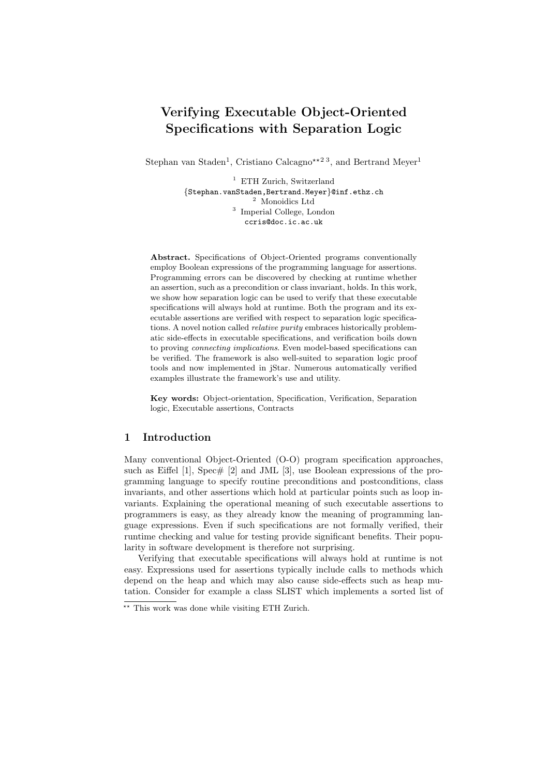# Verifying Executable Object-Oriented Specifications with Separation Logic

Stephan van Staden<sup>1</sup>, Cristiano Calcagno<sup>\*\*23</sup>, and Bertrand Meyer<sup>1</sup>

<sup>1</sup> ETH Zurich, Switzerland {Stephan.vanStaden,Bertrand.Meyer}@inf.ethz.ch  $^{\rm 2}$  Monoidics Ltd 3 Imperial College, London ccris@doc.ic.ac.uk

Abstract. Specifications of Object-Oriented programs conventionally employ Boolean expressions of the programming language for assertions. Programming errors can be discovered by checking at runtime whether an assertion, such as a precondition or class invariant, holds. In this work, we show how separation logic can be used to verify that these executable specifications will always hold at runtime. Both the program and its executable assertions are verified with respect to separation logic specifications. A novel notion called relative purity embraces historically problematic side-effects in executable specifications, and verification boils down to proving connecting implications. Even model-based specifications can be verified. The framework is also well-suited to separation logic proof tools and now implemented in jStar. Numerous automatically verified examples illustrate the framework's use and utility.

Key words: Object-orientation, Specification, Verification, Separation logic, Executable assertions, Contracts

### 1 Introduction

Many conventional Object-Oriented (O-O) program specification approaches, such as Eiffel  $[1]$ , Spec $\#$   $[2]$  and JML  $[3]$ , use Boolean expressions of the programming language to specify routine preconditions and postconditions, class invariants, and other assertions which hold at particular points such as loop invariants. Explaining the operational meaning of such executable assertions to programmers is easy, as they already know the meaning of programming language expressions. Even if such specifications are not formally verified, their runtime checking and value for testing provide significant benefits. Their popularity in software development is therefore not surprising.

Verifying that executable specifications will always hold at runtime is not easy. Expressions used for assertions typically include calls to methods which depend on the heap and which may also cause side-effects such as heap mutation. Consider for example a class SLIST which implements a sorted list of

 $\star\star$  This work was done while visiting ETH Zurich.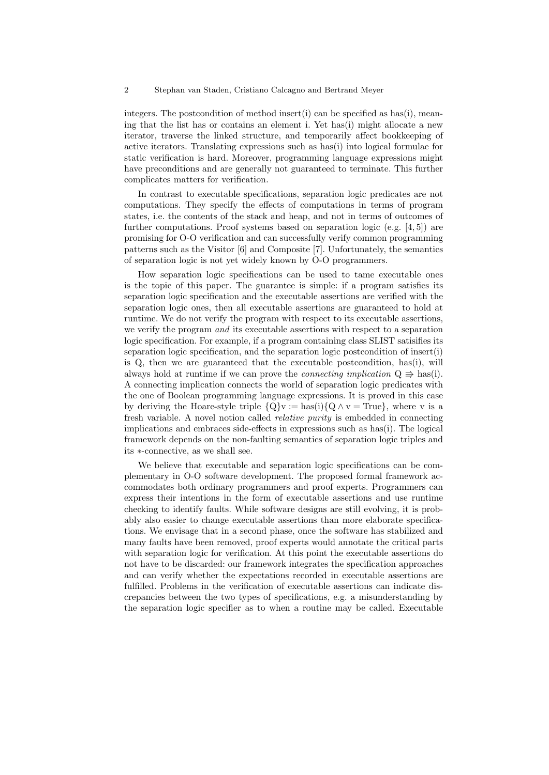integers. The postcondition of method insert(i) can be specified as has(i), meaning that the list has or contains an element i. Yet has(i) might allocate a new iterator, traverse the linked structure, and temporarily affect bookkeeping of active iterators. Translating expressions such as has(i) into logical formulae for static verification is hard. Moreover, programming language expressions might have preconditions and are generally not guaranteed to terminate. This further complicates matters for verification.

In contrast to executable specifications, separation logic predicates are not computations. They specify the effects of computations in terms of program states, i.e. the contents of the stack and heap, and not in terms of outcomes of further computations. Proof systems based on separation logic (e.g. [4, 5]) are promising for O-O verification and can successfully verify common programming patterns such as the Visitor [6] and Composite [7]. Unfortunately, the semantics of separation logic is not yet widely known by O-O programmers.

How separation logic specifications can be used to tame executable ones is the topic of this paper. The guarantee is simple: if a program satisfies its separation logic specification and the executable assertions are verified with the separation logic ones, then all executable assertions are guaranteed to hold at runtime. We do not verify the program with respect to its executable assertions, we verify the program *and* its executable assertions with respect to a separation logic specification. For example, if a program containing class SLIST satisifies its separation logic specification, and the separation logic postcondition of insert(i) is Q, then we are guaranteed that the executable postcondition, has(i), will always hold at runtime if we can prove the *connecting implication*  $Q \Rightarrow$  has(i). A connecting implication connects the world of separation logic predicates with the one of Boolean programming language expressions. It is proved in this case by deriving the Hoare-style triple  ${Q}v := \text{has}(i) {Q} \wedge v = \text{True}$ , where v is a fresh variable. A novel notion called relative purity is embedded in connecting implications and embraces side-effects in expressions such as has(i). The logical framework depends on the non-faulting semantics of separation logic triples and its ∗-connective, as we shall see.

We believe that executable and separation logic specifications can be complementary in O-O software development. The proposed formal framework accommodates both ordinary programmers and proof experts. Programmers can express their intentions in the form of executable assertions and use runtime checking to identify faults. While software designs are still evolving, it is probably also easier to change executable assertions than more elaborate specifications. We envisage that in a second phase, once the software has stabilized and many faults have been removed, proof experts would annotate the critical parts with separation logic for verification. At this point the executable assertions do not have to be discarded: our framework integrates the specification approaches and can verify whether the expectations recorded in executable assertions are fulfilled. Problems in the verification of executable assertions can indicate discrepancies between the two types of specifications, e.g. a misunderstanding by the separation logic specifier as to when a routine may be called. Executable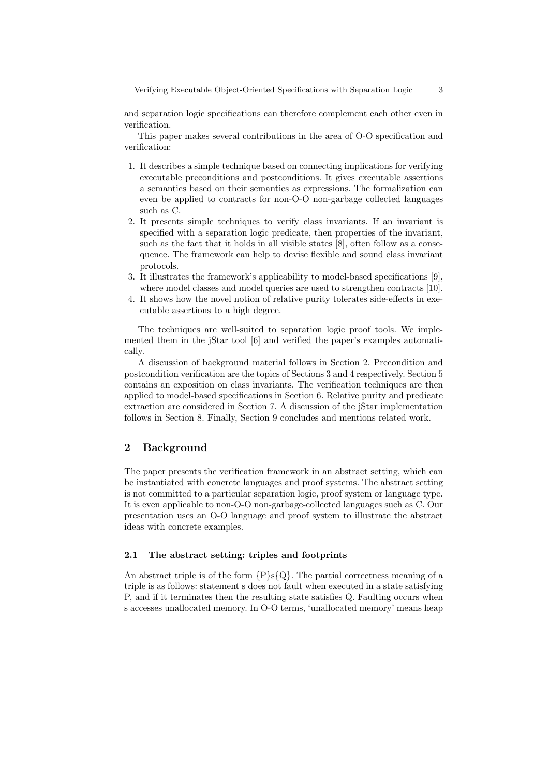and separation logic specifications can therefore complement each other even in verification.

This paper makes several contributions in the area of O-O specification and verification:

- 1. It describes a simple technique based on connecting implications for verifying executable preconditions and postconditions. It gives executable assertions a semantics based on their semantics as expressions. The formalization can even be applied to contracts for non-O-O non-garbage collected languages such as C.
- 2. It presents simple techniques to verify class invariants. If an invariant is specified with a separation logic predicate, then properties of the invariant, such as the fact that it holds in all visible states [8], often follow as a consequence. The framework can help to devise flexible and sound class invariant protocols.
- 3. It illustrates the framework's applicability to model-based specifications [9], where model classes and model queries are used to strengthen contracts [10].
- 4. It shows how the novel notion of relative purity tolerates side-effects in executable assertions to a high degree.

The techniques are well-suited to separation logic proof tools. We implemented them in the jStar tool [6] and verified the paper's examples automatically.

A discussion of background material follows in Section 2. Precondition and postcondition verification are the topics of Sections 3 and 4 respectively. Section 5 contains an exposition on class invariants. The verification techniques are then applied to model-based specifications in Section 6. Relative purity and predicate extraction are considered in Section 7. A discussion of the jStar implementation follows in Section 8. Finally, Section 9 concludes and mentions related work.

### 2 Background

The paper presents the verification framework in an abstract setting, which can be instantiated with concrete languages and proof systems. The abstract setting is not committed to a particular separation logic, proof system or language type. It is even applicable to non-O-O non-garbage-collected languages such as C. Our presentation uses an O-O language and proof system to illustrate the abstract ideas with concrete examples.

#### 2.1 The abstract setting: triples and footprints

An abstract triple is of the form  $\{P\}s\{Q\}$ . The partial correctness meaning of a triple is as follows: statement s does not fault when executed in a state satisfying P, and if it terminates then the resulting state satisfies Q. Faulting occurs when s accesses unallocated memory. In O-O terms, 'unallocated memory' means heap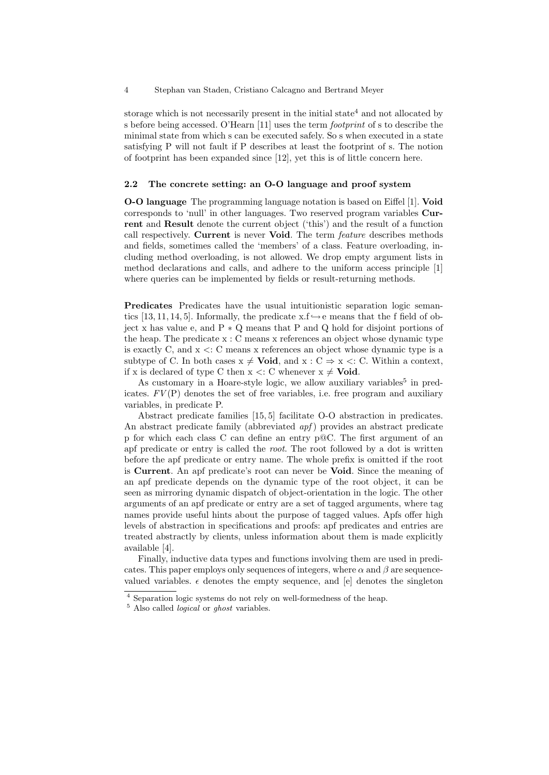storage which is not necessarily present in the initial state<sup>4</sup> and not allocated by s before being accessed. O'Hearn [11] uses the term footprint of s to describe the minimal state from which s can be executed safely. So s when executed in a state satisfying P will not fault if P describes at least the footprint of s. The notion of footprint has been expanded since [12], yet this is of little concern here.

#### 2.2 The concrete setting: an O-O language and proof system

O-O language The programming language notation is based on Eiffel [1]. Void corresponds to 'null' in other languages. Two reserved program variables Current and Result denote the current object ('this') and the result of a function call respectively. Current is never Void. The term *feature* describes methods and fields, sometimes called the 'members' of a class. Feature overloading, including method overloading, is not allowed. We drop empty argument lists in method declarations and calls, and adhere to the uniform access principle [1] where queries can be implemented by fields or result-returning methods.

Predicates Predicates have the usual intuitionistic separation logic semantics [13, 11, 14, 5]. Informally, the predicate  $x.f \rightarrow e$  means that the f field of object x has value e, and P ∗ Q means that P and Q hold for disjoint portions of the heap. The predicate x : C means x references an object whose dynamic type is exactly C, and  $x \leq C$  means x references an object whose dynamic type is a subtype of C. In both cases  $x \neq \text{Void}$ , and  $x : C \Rightarrow x \leq C$ . Within a context, if x is declared of type C then  $x \leq C$  whenever  $x \neq \text{Void}$ .

As customary in a Hoare-style logic, we allow auxiliary variables<sup>5</sup> in predicates.  $FV(P)$  denotes the set of free variables, i.e. free program and auxiliary variables, in predicate P.

Abstract predicate families [15, 5] facilitate O-O abstraction in predicates. An abstract predicate family (abbreviated  $\alpha$ *pf*) provides an abstract predicate p for which each class C can define an entry p@C. The first argument of an apf predicate or entry is called the root. The root followed by a dot is written before the apf predicate or entry name. The whole prefix is omitted if the root is Current. An apf predicate's root can never be Void. Since the meaning of an apf predicate depends on the dynamic type of the root object, it can be seen as mirroring dynamic dispatch of object-orientation in the logic. The other arguments of an apf predicate or entry are a set of tagged arguments, where tag names provide useful hints about the purpose of tagged values. Apfs offer high levels of abstraction in specifications and proofs: apf predicates and entries are treated abstractly by clients, unless information about them is made explicitly available [4].

Finally, inductive data types and functions involving them are used in predicates. This paper employs only sequences of integers, where  $\alpha$  and  $\beta$  are sequencevalued variables.  $\epsilon$  denotes the empty sequence, and [e] denotes the singleton

<sup>4</sup> Separation logic systems do not rely on well-formedness of the heap.

<sup>&</sup>lt;sup>5</sup> Also called *logical* or *ghost* variables.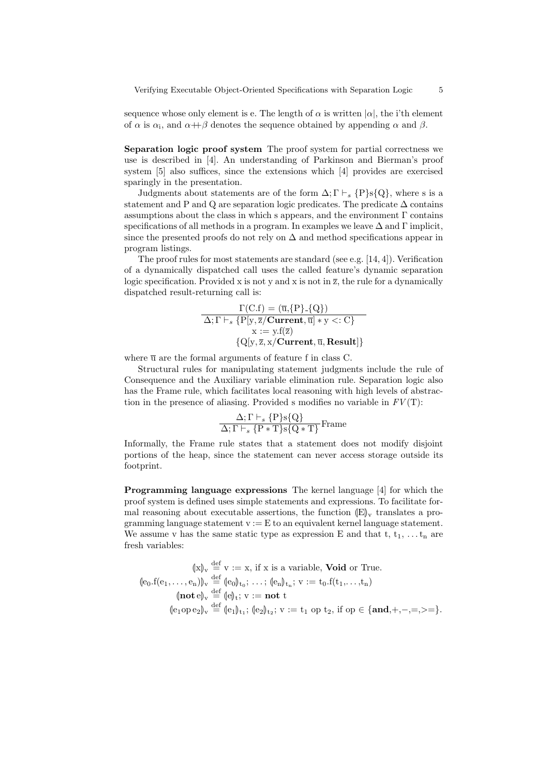sequence whose only element is e. The length of  $\alpha$  is written  $|\alpha|$ , the i'th element of  $\alpha$  is  $\alpha_i$ , and  $\alpha+\beta$  denotes the sequence obtained by appending  $\alpha$  and  $\beta$ .

Separation logic proof system The proof system for partial correctness we use is described in [4]. An understanding of Parkinson and Bierman's proof system [5] also suffices, since the extensions which [4] provides are exercised sparingly in the presentation.

Judgments about statements are of the form  $\Delta; \Gamma \vdash_s \{P\}$ s $\{Q\}$ , where s is a statement and P and Q are separation logic predicates. The predicate  $\Delta$  contains assumptions about the class in which s appears, and the environment  $\Gamma$  contains specifications of all methods in a program. In examples we leave  $\Delta$  and  $\Gamma$  implicit, since the presented proofs do not rely on  $\Delta$  and method specifications appear in program listings.

The proof rules for most statements are standard (see e.g. [14, 4]). Verification of a dynamically dispatched call uses the called feature's dynamic separation logic specification. Provided x is not y and x is not in  $\overline{z}$ , the rule for a dynamically dispatched result-returning call is:

$$
\frac{\Gamma(C.f) = (\overline{u}, \{P\}, \{Q\})}{\Delta; \Gamma \vdash_s \{P[y, \overline{z}/\text{Current}, \overline{u}] * y <: C\}}\n x := y.f(\overline{z})\n \{Q[y, \overline{z}, x/\text{Current}, \overline{u}, \text{Result}]\}
$$

where  $\bar{u}$  are the formal arguments of feature f in class C.

Structural rules for manipulating statement judgments include the rule of Consequence and the Auxiliary variable elimination rule. Separation logic also has the Frame rule, which facilitates local reasoning with high levels of abstraction in the presence of aliasing. Provided s modifies no variable in  $FV(T)$ :

$$
\frac{\Delta; \Gamma \vdash_s \{P\} \{Q\}}{\Delta; \Gamma \vdash_s \{P * T\} \{Q * T\}}
$$
Frame

Informally, the Frame rule states that a statement does not modify disjoint portions of the heap, since the statement can never access storage outside its footprint.

Programming language expressions The kernel language [4] for which the proof system is defined uses simple statements and expressions. To facilitate formal reasoning about executable assertions, the function  $(E<sub>v</sub>$  translates a programming language statement  $v := E$  to an equivalent kernel language statement. We assume v has the same static type as expression E and that  $t, t_1, \ldots t_n$  are fresh variables:

$$
\langle [x]_v \stackrel{\text{def}}{=} v := x, \text{ if } x \text{ is a variable, } \text{\text{void or True}}.
$$
\n
$$
\langle [e_0.f(e_1,\ldots,e_n)] \rangle_v \stackrel{\text{def}}{=} \langle [e_0]_{t_0};\ldots; \langle [e_n]_{t_n}; v := t_0.f(t_1,\ldots,t_n)
$$
\n
$$
\langle [not e]_v \stackrel{\text{def}}{=} \langle [e]_{t}; v := \text{not } t
$$
\n
$$
\langle [e_1 \text{op } e_2]_v \stackrel{\text{def}}{=} \langle [e_1]_{t_1}; \langle [e_2]_{t_2}; v := t_1 \text{ op } t_2, \text{ if } \text{op} \in \{\text{and}, +, -, =, > =\}.
$$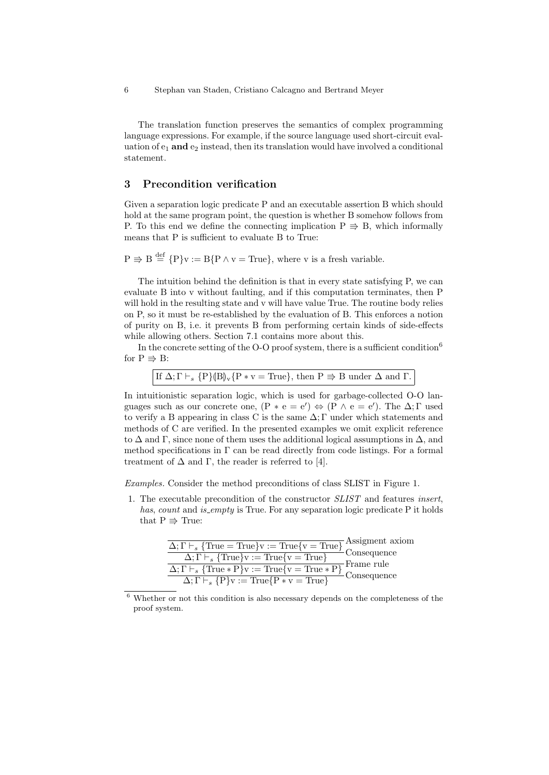The translation function preserves the semantics of complex programming language expressions. For example, if the source language used short-circuit evaluation of  $e_1$  and  $e_2$  instead, then its translation would have involved a conditional statement.

### 3 Precondition verification

Given a separation logic predicate P and an executable assertion B which should hold at the same program point, the question is whether B somehow follows from P. To this end we define the connecting implication  $P \Rightarrow B$ , which informally means that P is sufficient to evaluate B to True:

 $P \Rightarrow B \stackrel{\text{def}}{=} \{P\}v := B\{P \wedge v = \text{True}\},$  where v is a fresh variable.

The intuition behind the definition is that in every state satisfying P, we can evaluate B into v without faulting, and if this computation terminates, then P will hold in the resulting state and v will have value True. The routine body relies on P, so it must be re-established by the evaluation of B. This enforces a notion of purity on B, i.e. it prevents B from performing certain kinds of side-effects while allowing others. Section 7.1 contains more about this.

In the concrete setting of the O-O proof system, there is a sufficient condition<sup>6</sup> for  $P \Rightarrow B$ :

If  $\Delta; \Gamma \vdash_s \{P\}(\mathbb{B})_v\{P * v = \text{True}\}\$ , then  $P \Rightarrow B$  under  $\Delta$  and  $\Gamma$ .

In intuitionistic separation logic, which is used for garbage-collected O-O languages such as our concrete one,  $(P * e = e') \Leftrightarrow (P \wedge e = e')$ . The  $\Delta; \Gamma$  used to verify a B appearing in class C is the same  $\Delta$ ; Γ under which statements and methods of C are verified. In the presented examples we omit explicit reference to  $\Delta$  and Γ, since none of them uses the additional logical assumptions in  $\Delta$ , and method specifications in  $\Gamma$  can be read directly from code listings. For a formal treatment of  $\Delta$  and  $\Gamma$ , the reader is referred to [4].

Examples. Consider the method preconditions of class SLIST in Figure 1.

1. The executable precondition of the constructor SLIST and features insert, has, count and is empty is True. For any separation logic predicate P it holds that  $P \Rightarrow True$ :

| $-$ Assigment axiom<br>$\underline{\Delta};\underline{\Gamma\vdash_s\{\text{True}=\text{True}\}}\mathrm{v}:=\overline{\text{True}\{\mathrm{v}=\text{True}\}}$                                        |
|------------------------------------------------------------------------------------------------------------------------------------------------------------------------------------------------------|
| -Consequence<br>$\overline{\Delta;\Gamma\vdash_s{\text{True}}\{v:=\text{True}\{v=\text{True}\}}$                                                                                                     |
| $\frac{\Delta; \overline{\Gamma \vdash_s \{ \text{True} * P \} v := \text{True} \{ v = \text{True} * P \}}}{\Delta; \Gamma \vdash_s \{ P \} v := \text{True} \{ P * v = \text{True} \}}$ Consequence |
|                                                                                                                                                                                                      |

 $^6$  Whether or not this condition is also necessary depends on the completeness of the  $\,$ proof system.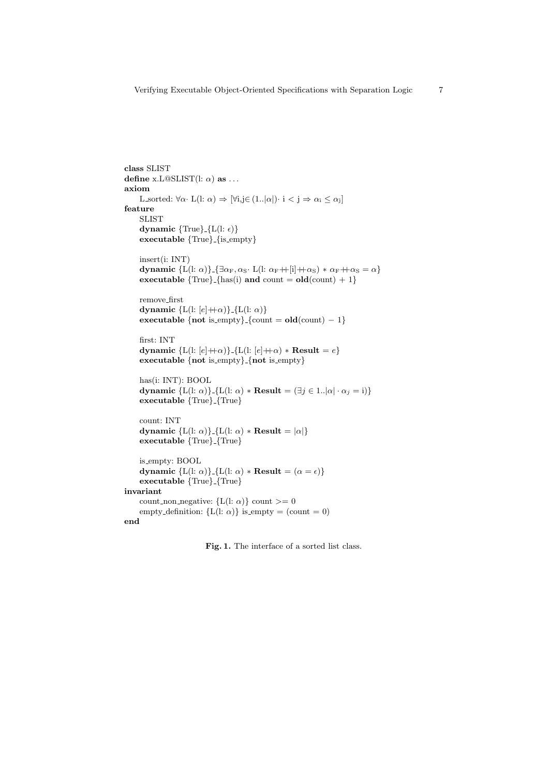```
class SLIST
define x.L@SLIST(l: \alpha) as ...
axiom
    L sorted: \forall \alpha \cdot L(l: \alpha) \Rightarrow [\forall i, j \in (1..|\alpha|) \cdot i < j \Rightarrow \alpha_i \leq \alpha_i]feature
    SLIST
    dynamic \{True\} {L(l: \epsilon)}
    executable {True} {is empty}
    insert(i: INT)
    dynamic \{L(l: \alpha)\}\ {\exists \alpha_F, \alpha_S \cdot L(l: \alpha_F + [i] + \alpha_S) * \alpha_F + \alpha_S = \alpha}
    executable {True} {has(i) and count = old(count) + 1}
    remove first
    dynamic {L(1: [e]+ \alpha)} {L(1: \alpha)}executable {not is empty} {count = old(count) - 1}
    first: INT
    dynamic {L(l: [e]+ \alpha)} {L(l: [e]+ \alpha) * Result = e}
     executable {not is empty} {not is empty}
    has(i: INT): BOOL
    dynamic {L(l: \alpha)} {L(l: \alpha) * Result = (\exists j \in 1..|\alpha| \cdot \alpha_j = i)}
    executable {True} {True}
    count: INT
     dynamic {L(l: \alpha)} {L(l: \alpha) * Result = |\alpha|}
     executable {True} {True}
    is empty: BOOL
    dynamic {L(l: \alpha)}. {L(l: \alpha) * Result = (\alpha = \epsilon)}executable {True} {True}
invariant
    count non negative: {L(1: \alpha)} count >= 0empty definition: {L(l: \alpha)} is empty = (count = 0)
end
```
Fig. 1. The interface of a sorted list class.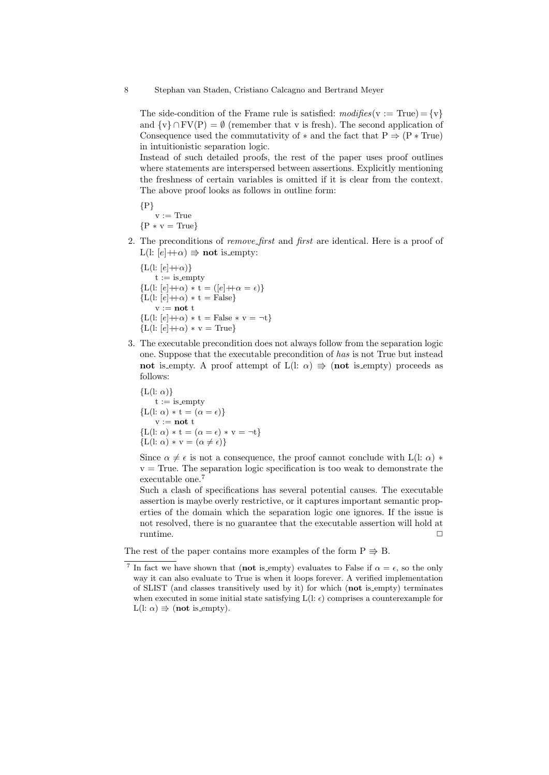The side-condition of the Frame rule is satisfied:  ${modifies(v := True) = \{v\}}$ and  $\{v\} \cap FV(P) = \emptyset$  (remember that v is fresh). The second application of Consequence used the commutativity of  $*$  and the fact that  $P \Rightarrow (P * True)$ in intuitionistic separation logic.

Instead of such detailed proofs, the rest of the paper uses proof outlines where statements are interspersed between assertions. Explicitly mentioning the freshness of certain variables is omitted if it is clear from the context. The above proof looks as follows in outline form:

{P}  $v := True$  ${P * v = True}$ 

2. The preconditions of remove first and first are identical. Here is a proof of  $L(l: [e] + \alpha) \Rightarrow$  not is empty:

 ${L(l: [e] + \alpha)}$  $t :=$  is empty  ${L(1: [e]+ \alpha) * t = ([e]+ \alpha = \epsilon)}$  ${L(l: |e| + \alpha) * t = False}$  $v := \textbf{not } t$  ${L(l: [e]+ \alpha) * t = False * v = \neg t}$  ${L(1: |e| + \alpha) * v = True}$ 

3. The executable precondition does not always follow from the separation logic one. Suppose that the executable precondition of has is not True but instead not is empty. A proof attempt of  $L(l: \alpha) \Rightarrow (not \text{ is empty})$  proceeds as follows:

 ${L(l: \alpha)}$  $t := is$ \_empty  ${L(l: \alpha) * t = (\alpha = \epsilon)}$  $v := \textbf{not } t$  ${L(l: \alpha) * t = (\alpha = \epsilon) * v = \neg t}$  ${L(l: \alpha) * v = (\alpha \neq \epsilon)}$ 

Since  $\alpha \neq \epsilon$  is not a consequence, the proof cannot conclude with L(l:  $\alpha$ )  $*$  $v = True$ . The separation logic specification is too weak to demonstrate the executable one.<sup>7</sup>

Such a clash of specifications has several potential causes. The executable assertion is maybe overly restrictive, or it captures important semantic properties of the domain which the separation logic one ignores. If the issue is not resolved, there is no guarantee that the executable assertion will hold at runtime.

The rest of the paper contains more examples of the form  $P \Rightarrow B$ .

<sup>&</sup>lt;sup>7</sup> In fact we have shown that (not is empty) evaluates to False if  $\alpha = \epsilon$ , so the only way it can also evaluate to True is when it loops forever. A verified implementation of SLIST (and classes transitively used by it) for which (not is empty) terminates when executed in some initial state satisfying  $L(l: \epsilon)$  comprises a counterexample for  $L(l: \alpha) \Rightarrow (not \text{ is empty}).$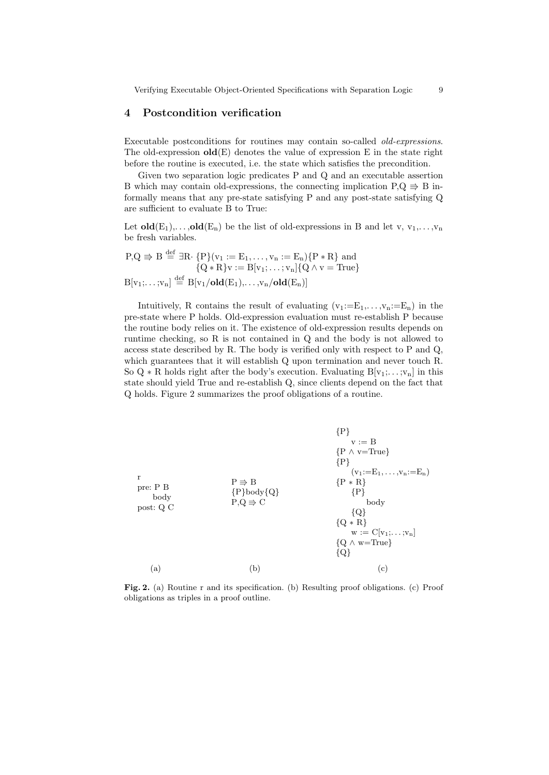Verifying Executable Object-Oriented Specifications with Separation Logic 9

### 4 Postcondition verification

Executable postconditions for routines may contain so-called old-expressions. The old-expression  $\text{old}(E)$  denotes the value of expression E in the state right before the routine is executed, i.e. the state which satisfies the precondition.

Given two separation logic predicates P and Q and an executable assertion B which may contain old-expressions, the connecting implication  $P,Q \Rightarrow B$  informally means that any pre-state satisfying P and any post-state satisfying Q are sufficient to evaluate B to True:

Let  $\text{old}(E_1), \ldots, \text{old}(E_n)$  be the list of old-expressions in B and let v,  $v_1, \ldots, v_n$ be fresh variables.

$$
\begin{array}{c} P,Q \Rrightarrow B \stackrel{\text{def}}{=} \exists R. \{P\}(v_1 := E_1, \ldots, v_n := E_n) \{P * R\} \text{ and } \\ \{Q * R\}v := B[v_1; \ldots; v_n] \{Q \land v = True\} \\ B[v_1; \ldots; v_n] \stackrel{\text{def}}{=} B[v_1/\text{old}(E_1), \ldots, v_n/\text{old}(E_n)] \end{array}
$$

Intuitively, R contains the result of evaluating  $(v_1:=E_1,\ldots,v_n:=E_n)$  in the pre-state where P holds. Old-expression evaluation must re-establish P because the routine body relies on it. The existence of old-expression results depends on runtime checking, so R is not contained in Q and the body is not allowed to access state described by R. The body is verified only with respect to P and Q, which guarantees that it will establish Q upon termination and never touch R. So  $Q * R$  holds right after the body's execution. Evaluating  $B[v_1; \ldots; v_n]$  in this state should yield True and re-establish Q, since clients depend on the fact that Q holds. Figure 2 summarizes the proof obligations of a routine.



Fig. 2. (a) Routine r and its specification. (b) Resulting proof obligations. (c) Proof obligations as triples in a proof outline.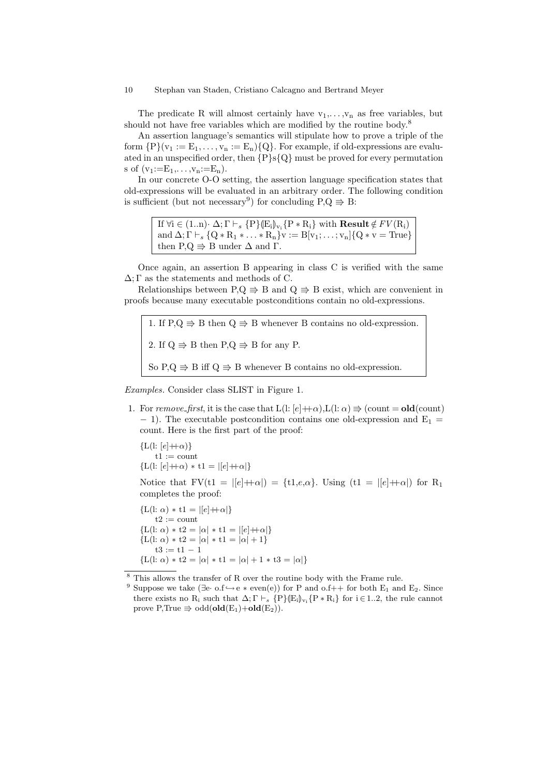The predicate R will almost certainly have  $v_1, \ldots, v_n$  as free variables, but should not have free variables which are modified by the routine body.<sup>8</sup>

An assertion language's semantics will stipulate how to prove a triple of the form  $\{P\}(v_1 := E_1, \ldots, v_n := E_n)\{Q\}$ . For example, if old-expressions are evaluated in an unspecified order, then  ${P}_{s} {Q}$  must be proved for every permutation s of  $(v_1:=E_1,\ldots,v_n:=E_n)$ .

In our concrete O-O setting, the assertion language specification states that old-expressions will be evaluated in an arbitrary order. The following condition is sufficient (but not necessary<sup>9</sup>) for concluding  $P,Q \Rightarrow B$ :

```
If \forall i \in (1..n) \cdot \Delta; \Gamma \vdash_s \{P\}(\mathbb{E}_i|_{v_i}\{P \ast R_i\} \text{ with } \mathbf{Result} \notin FV(R_i)and \Delta; \Gamma \vdash_s \{Q * R_1 * \ldots * R_n\} v := B[v_1; \ldots; v_n] \{Q * v = True\}then P,Q \Rightarrow B under \Delta and \Gamma.
```
Once again, an assertion B appearing in class C is verified with the same  $\Delta$ ; Γ as the statements and methods of C.

Relationships between  $P,Q \Rightarrow B$  and  $Q \Rightarrow B$  exist, which are convenient in proofs because many executable postconditions contain no old-expressions.

1. If P,Q  $\Rightarrow$  B then Q  $\Rightarrow$  B whenever B contains no old-expression. 2. If  $Q \Rightarrow B$  then  $P,Q \Rightarrow B$  for any P. So P,Q  $\Rightarrow$  B iff Q  $\Rightarrow$  B whenever B contains no old-expression.

Examples. Consider class SLIST in Figure 1.

1. For remove\_first, it is the case that  $L(l: [e]+\alpha)$ , $L(l: \alpha) \Rightarrow$  (count = **old**(count)  $-$  1). The executable postcondition contains one old-expression and E<sub>1</sub> = count. Here is the first part of the proof:

 ${L(l: [e]+ \alpha)}$  $t1 := \text{count}$  ${L(l: [e] + \alpha) * t1 = |[e] + \alpha}$ 

Notice that  $FV(t1 = |[e]+|\alpha|) = \{t1,e,\alpha\}$ . Using  $(t1 = |[e]+|\alpha|)$  for R<sub>1</sub> completes the proof:

```
{L(l: \alpha) * t1 = |[e] + \alpha|}t2 := \text{count}{L(1: \alpha) * t2 = |\alpha| * t1 = |e| + |\alpha|}{L(l: \alpha) * t2 = |\alpha| * t1 = |\alpha| + 1}t3 := t1 - 1{L(l: \alpha) * t2 = |\alpha| * t1 = |\alpha| + 1 * t3 = |\alpha|}
```
 $^8$  This allows the transfer of R over the routine body with the Frame rule.

<sup>&</sup>lt;sup>9</sup> Suppose we take ( $\exists e \cdot o.f \hookrightarrow e * even(e)$ ) for P and  $o.f++$  for both E<sub>1</sub> and E<sub>2</sub>. Since there exists no  $R_i$  such that  $\Delta; \Gamma \vdash_s \{P\} (E_i)_{v_i} \{P * R_i\}$  for  $i \in 1..2$ , the rule cannot prove P,True  $\Rightarrow$  odd(**old**(E<sub>1</sub>)+**old**(E<sub>2</sub>)).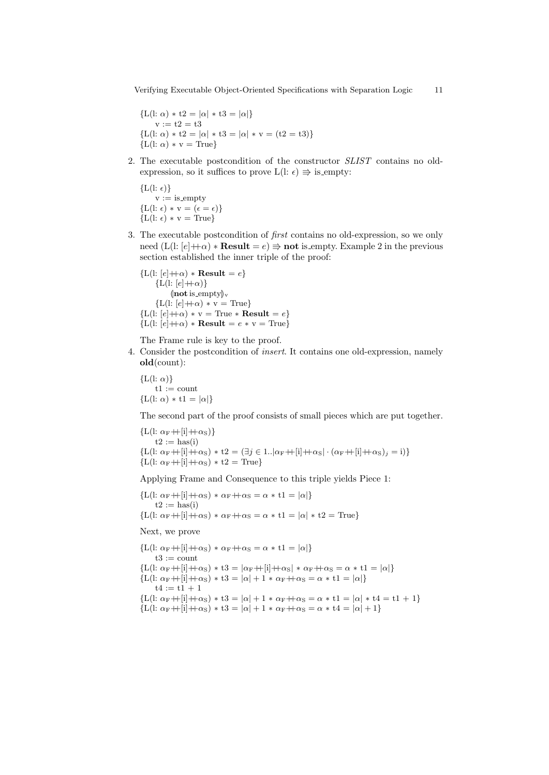Verifying Executable Object-Oriented Specifications with Separation Logic 11

 ${L(l: \alpha) * t2 = |\alpha| * t3 = |\alpha|}$  $v := t2 = t3$  ${L(1: \alpha) * t2 = |\alpha| * t3 = |\alpha| * v = (t2 = t3)}$  ${L(l: \alpha) * v = True}$ 

2. The executable postcondition of the constructor SLIST contains no oldexpression, so it suffices to prove  $L(l: \epsilon) \Rightarrow$  is empty:

 ${L(l: \epsilon)}$  $v := i s$ <sub>empty</sub>  ${L(l: \epsilon) * v = (\epsilon = \epsilon)}$  ${L(l: \epsilon) * v = True}$ 

3. The executable postcondition of first contains no old-expression, so we only need (L(l:  $[e] + \alpha$ ) \* **Result** =  $e$ )  $\Rightarrow$  **not** is empty. Example 2 in the previous section established the inner triple of the proof:

 ${L(1: [e]+ \alpha) * \textbf{Result} = e}$  ${L(l: [e] + \alpha)}$  $\langle \textbf{not} \text{ is\_empty} \rangle_{\text{v}}$  ${L(l: [e] + \alpha) * v = True}$  ${L(l: [e]+ \alpha) * v = True * Result = e}$  ${L(l: |e| + \alpha) * \textbf{Result} = e * v = True}$ 

The Frame rule is key to the proof.

4. Consider the postcondition of insert. It contains one old-expression, namely old(count):

 ${L(l: \alpha)}$  $t1 := \text{count}$  ${L(l: \alpha) * t1 = |\alpha|}$ 

The second part of the proof consists of small pieces which are put together.

 ${L(l: \alpha_F + |i| + \alpha_S)}$  $t2 := \text{has}(i)$  ${L(l: \alpha_F + [i] + \alpha_S) * t2 = (\exists j \in 1..|\alpha_F + [i] + \alpha_S) \cdot (\alpha_F + [i] + \alpha_S)_{i} = i}$  ${L(1: \alpha_F + [i] + \alpha_S) * t2 = True}$ 

Applying Frame and Consequence to this triple yields Piece 1:

 ${L(l: \alpha_F + [i] + \alpha_S) * \alpha_F + \alpha_S = \alpha * t1 = |\alpha|}$  $t2 := \text{has}(i)$  ${L(l: \alpha_F + [i] + \alpha_S) * \alpha_F + \alpha_S = \alpha * t1 = |\alpha| * t2 = True}$ 

Next, we prove

```
{L(l: \alpha_F + |i| + \alpha_S) * \alpha_F + \alpha_S = \alpha * t1 = |\alpha|}t3 := \text{count}{L(l: \alpha_F + [i] + \alpha_S) * t3 = |\alpha_F + [i] + \alpha_S| * \alpha_F + \alpha_S = \alpha * t1 = |\alpha|}{L(l: \alpha_F + |i| + \alpha_S) * t3 = |\alpha| + 1 * \alpha_F + \alpha_S = \alpha * t1 = |\alpha|}t4 := t1 + 1{L(l: \alpha_F + |i| + \alpha_S) * t3 = |\alpha| + 1 * \alpha_F + \alpha_S = \alpha * t1 = |\alpha| * t4 = t1 + 1}{L(1: \alpha_F + [i] + \alpha_S) * t3 = |\alpha| + 1 * \alpha_F + \alpha_S = \alpha * t4 = |\alpha| + 1}
```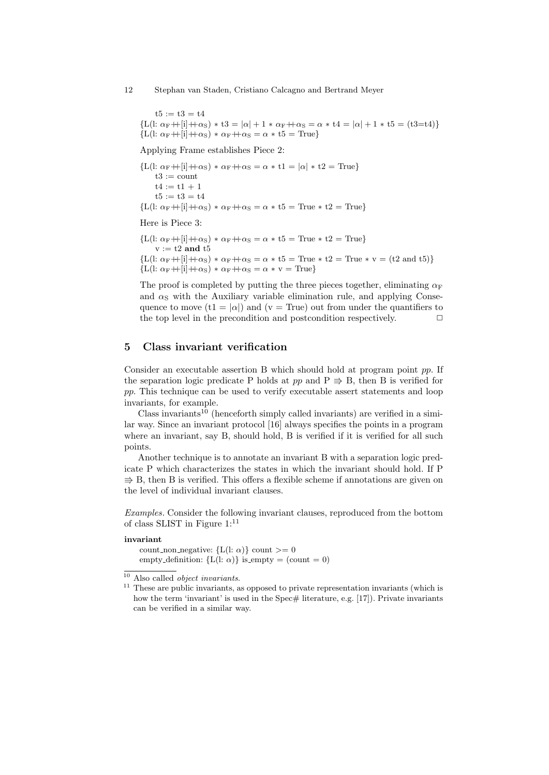$t5 := t3 = t4$  ${L(1: \alpha_F + [i] + \alpha_S) * t3 = |\alpha| + 1 * \alpha_F + \alpha_S = \alpha * t4 = |\alpha| + 1 * t5 = (t3 = t4)}$  ${L(l: \alpha_F + [i] + \alpha_S) * \alpha_F + \alpha_S = \alpha * t5 = True}$ 

Applying Frame establishes Piece 2:

 ${L(1: \alpha_F + |i| + \alpha_S) * \alpha_F + \alpha_S = \alpha * t1 = |\alpha| * t2 = True}$  $t3 := \text{count}$  $t4 := t1 + 1$  $t5 := t3 = t4$  ${L(1: \alpha_F + [i] + \alpha_S) * \alpha_F + \alpha_S = \alpha * t5 = True * t2 = True}$ 

Here is Piece 3:

 ${L(1: \alpha_F + [i] + \alpha_S) * \alpha_F + \alpha_S = \alpha * t5 = True * t2 = True}$  $v := t2$  and  $t5$  ${L(l: \alpha_F + [i] + \alpha_S) * \alpha_F + \alpha_S = \alpha * t5 = True * t2 = True * v = (t2 \text{ and } t5)}$  ${L(l: \alpha_F + |i| + \alpha_S) * \alpha_F + \alpha_S = \alpha * v = True}$ 

The proof is completed by putting the three pieces together, eliminating  $\alpha_F$ and  $\alpha$ <sub>S</sub> with the Auxiliary variable elimination rule, and applying Consequence to move  $(t1 = |\alpha|)$  and  $(v = True)$  out from under the quantifiers to the top level in the precondition and postcondition respectively.  $\hfill \Box$ 

### 5 Class invariant verification

Consider an executable assertion B which should hold at program point pp. If the separation logic predicate P holds at  $pp$  and  $P \Rightarrow B$ , then B is verified for pp. This technique can be used to verify executable assert statements and loop invariants, for example.

Class invariants<sup>10</sup> (henceforth simply called invariants) are verified in a similar way. Since an invariant protocol [16] always specifies the points in a program where an invariant, say B, should hold, B is verified if it is verified for all such points.

Another technique is to annotate an invariant B with a separation logic predicate P which characterizes the states in which the invariant should hold. If P  $\Rightarrow$  B, then B is verified. This offers a flexible scheme if annotations are given on the level of individual invariant clauses.

Examples. Consider the following invariant clauses, reproduced from the bottom of class SLIST in Figure 1:<sup>11</sup>

#### invariant

count non negative:  ${L(l: \alpha)}$  count  $>= 0$ empty\_definition:  ${L(l: \alpha)}$  is empty = (count = 0)

 $\overline{^{10}}$  Also called *object invariants*.

<sup>&</sup>lt;sup>11</sup> These are public invariants, as opposed to private representation invariants (which is how the term 'invariant' is used in the  $Spec \#$  literature, e.g. [17]). Private invariants can be verified in a similar way.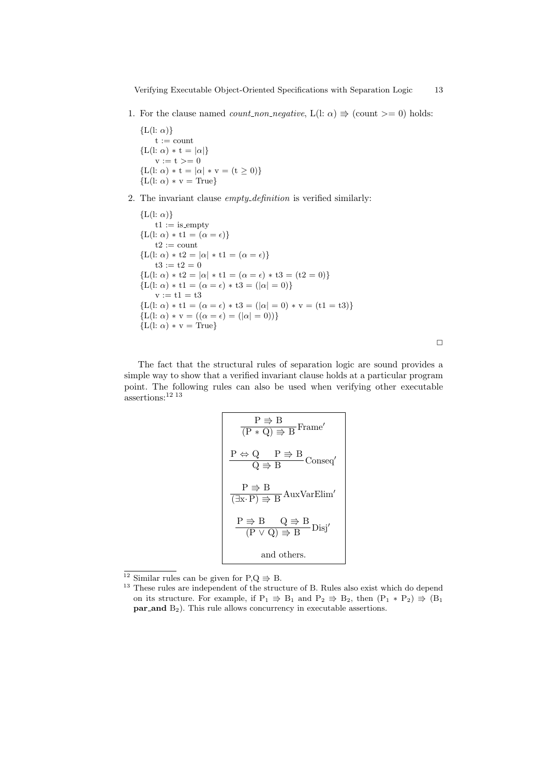1. For the clause named *count\_non\_negative*,  $L(l: \alpha) \Rightarrow$  (count  $>= 0$ ) holds:

 ${L(l: \alpha)}$  $\mathbf{t} := \text{count}$  ${L(l: \alpha) * t = |\alpha|}$  $\mathbf{v}:=\mathbf{t}>=0$  ${L(1: \alpha) * t = |\alpha| * v = (t \ge 0)}$  ${L(l: \alpha) * v = True}$ 

2. The invariant clause *empty\_definition* is verified similarly:

 ${L(l: \alpha)}$  $t1 :=$  is empty  ${L(l: \alpha) * t1 = (\alpha = \epsilon)}$  $t2 := \mathrm{count}$  ${L(l: \alpha) * t2 = |\alpha| * t1 = (\alpha = \epsilon)}$  $t3 := t2 = 0$  ${L(l: \alpha) * t2 = |\alpha| * t1 = (\alpha = \epsilon) * t3 = (t2 = 0)}$  ${L(l: \alpha) * t1 = (\alpha = \epsilon) * t3 = (|\alpha| = 0)}$  $\rm v$  :=  $\rm t1$  =  $\rm t3$  ${L(l: \alpha) * t1 = (\alpha = \epsilon) * t3 = (|\alpha| = 0) * v = (t1 = t3)}$  $\left\{ L(l\colon \alpha)\ast v = \left( (\alpha = \epsilon) = (|\alpha| = 0) \right) \right\}$  ${L(l: \alpha) * v = True}$ 

 $\Box$ 

The fact that the structural rules of separation logic are sound provides a simple way to show that a verified invariant clause holds at a particular program point. The following rules can also be used when verifying other executable assertions:  $\real^{12}$   $\real^{13}$ 

$$
\frac{P \Rightarrow B}{(P * Q) \Rightarrow B}
$$
Frame'  
\n
$$
\frac{P \Leftrightarrow Q \quad P \Rightarrow B}{Q \Rightarrow B}
$$
Conseq'  
\n
$$
\frac{P \Rightarrow B}{(\exists x \cdot P) \Rightarrow B}
$$
AuxVarElim'  
\n
$$
\frac{P \Rightarrow B \quad Q \Rightarrow B}{(P \lor Q) \Rightarrow B}
$$
Disj'  
\nand others.

 $\frac{12}{12}$  Similar rules can be given for P,Q  $\Rightarrow$  B.

 $^{13}$  These rules are independent of the structure of B. Rules also exist which do depend on its structure. For example, if  $P_1 \Rightarrow B_1$  and  $P_2 \Rightarrow B_2$ , then  $(P_1 * P_2) \Rightarrow (B_1$  $par_and B<sub>2</sub>$ ). This rule allows concurrency in executable assertions.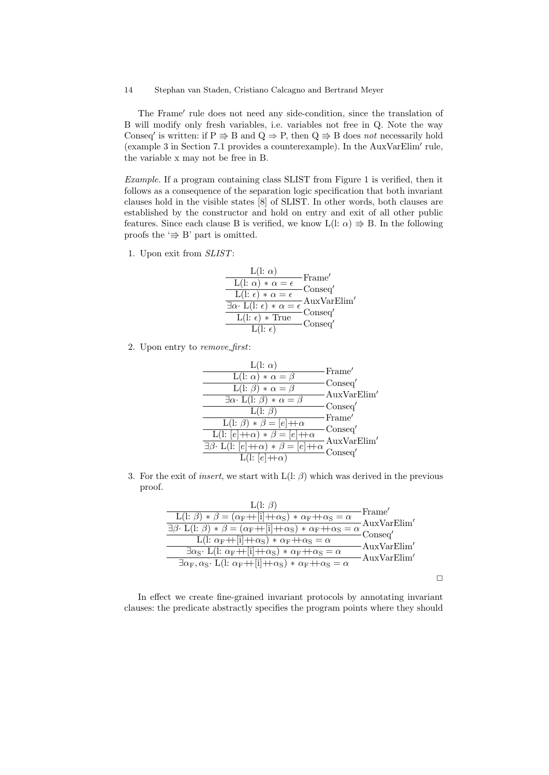The Frame' rule does not need any side-condition, since the translation of B will modify only fresh variables, i.e. variables not free in Q. Note the way Conseq' is written: if  $P \Rightarrow B$  and  $Q \Rightarrow P$ , then  $Q \Rightarrow B$  does not necessarily hold (example  $3$  in Section  $7.1$  provides a counterexample). In the AuxVarElim' rule, the variable x may not be free in B.

Example. If a program containing class SLIST from Figure 1 is verified, then it follows as a consequence of the separation logic specification that both invariant clauses hold in the visible states [8] of SLIST. In other words, both clauses are established by the constructor and hold on entry and exit of all other public features. Since each clause B is verified, we know  $L(l: \alpha) \Rightarrow B$ . In the following proofs the  $\Rightarrow$  B' part is omitted.

1. Upon exit from SLIST:

$$
\frac{L(l: \alpha)}{L(l: \epsilon) * \alpha = \epsilon} \text{Frame}'
$$
\n
$$
\frac{L(l: \alpha) * \alpha = \epsilon}{L(l: \epsilon) * \alpha = \epsilon} \text{Conseq}'
$$
\n
$$
\frac{\exists \alpha \cdot L(l: \epsilon) * \alpha = \epsilon}{L(l: \epsilon) * \text{True}} \text{Conseq}'
$$
\n
$$
\frac{L(l: \epsilon) * \text{True}}{L(l: \epsilon)} \text{Conseq}'
$$

2. Upon entry to remove\_first:

| $L(l: \alpha)$                                                  |             |
|-----------------------------------------------------------------|-------------|
| L(l: $\alpha$ ) * $\alpha = \beta$                              | Frame'      |
| L(l: $\beta$ ) * $\alpha = \beta$                               | Conseq'     |
| $\exists \alpha \cdot L(l: \beta) * \alpha = \beta$             | AuxVarElim' |
| $L(l: \beta)$                                                   | Conseq'     |
| L(l: $\beta$ ) * $\beta = [e] + \alpha$                         | Frame'      |
| L(l: $[e] + \alpha$ ) * $\beta = [e] + \alpha$                  | Conseq'     |
| $\exists \beta \cdot L(l: [e] + \alpha) * \beta = [e] + \alpha$ | AuxVarElim' |
| L(l: $[e] + \alpha$ )                                           | Conseq'     |
|                                                                 |             |

3. For the exit of *insert*, we start with  $L(l: \beta)$  which was derived in the previous proof.

| $L(l: \beta)$                                                                                                           | · Frame'    |
|-------------------------------------------------------------------------------------------------------------------------|-------------|
| L(l: $\beta$ ) * $\beta = (\alpha_F + [i] + \alpha_S) * \alpha_F + \alpha_S = \alpha$                                   | AuxVarElim' |
| $\overline{\exists \beta \cdotp L(l\colon \beta) * \beta} = (\alpha_F + [i] + \alpha_S) * \alpha_F + \alpha_S = \alpha$ | Conseq'     |
| L(l: $\alpha_F +  i  + \alpha_S$ ) * $\alpha_F + \alpha_S = \alpha$                                                     | AuxVarElim' |
| $\exists \alpha_S \cdot L(l: \alpha_F +  i  + \alpha_S) * \alpha_F + \alpha_S = \alpha$                                 | AuxVarElim' |
| $\exists \alpha_F, \alpha_S$ . L(l: $\alpha_F + [i] + \alpha_S$ ) * $\alpha_F + \alpha_S = \alpha$                      |             |
|                                                                                                                         |             |

 $\Box$ 

In effect we create fine-grained invariant protocols by annotating invariant clauses: the predicate abstractly specifies the program points where they should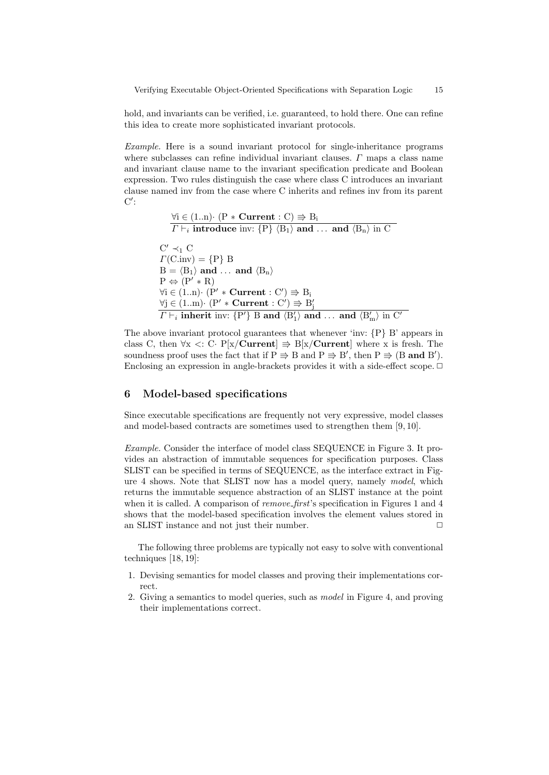hold, and invariants can be verified, i.e. guaranteed, to hold there. One can refine this idea to create more sophisticated invariant protocols.

Example. Here is a sound invariant protocol for single-inheritance programs where subclasses can refine individual invariant clauses.  $\Gamma$  maps a class name and invariant clause name to the invariant specification predicate and Boolean expression. Two rules distinguish the case where class C introduces an invariant clause named inv from the case where C inherits and refines inv from its parent  $C^{\prime}$ :

$$
\forall i \in (1..n) \cdot (P * Current : C) \Rightarrow B_i
$$
\n
$$
\overline{\Gamma \vdash_i \text{introduce inv: } \{P\} \langle B_1 \rangle \text{ and } \dots \text{ and } \langle B_n \rangle \text{ in } C}
$$
\n
$$
C' \prec_1 C
$$
\n
$$
\Gamma(C.inv) = \{P\} B
$$
\n
$$
B = \langle B_1 \rangle \text{ and } \dots \text{ and } \langle B_n \rangle
$$
\n
$$
P \Leftrightarrow (P' * R)
$$
\n
$$
\forall i \in (1..n) \cdot (P' * Current : C') \Rightarrow B_i
$$
\n
$$
\forall j \in (1..m) \cdot (P' * Current : C') \Rightarrow B'_j
$$
\n
$$
\overline{\Gamma \vdash_i \text{ inherit inv: } \{P'\} \text{ B and } \langle B'_1 \rangle \text{ and } \dots \text{ and } \langle B'_m \rangle \text{ in } C'}
$$

The above invariant protocol guarantees that whenever 'inv:  $\{P\}$  B' appears in class C, then  $\forall x \leq C$  P[x/**Current**]  $\Rightarrow$  B[x/**Current**] where x is fresh. The soundness proof uses the fact that if  $P \Rightarrow B$  and  $P \Rightarrow B'$ , then  $P \Rightarrow (B \text{ and } B')$ . Enclosing an expression in angle-brackets provides it with a side-effect scope.  $\Box$ 

### 6 Model-based specifications

Since executable specifications are frequently not very expressive, model classes and model-based contracts are sometimes used to strengthen them [9, 10].

Example. Consider the interface of model class SEQUENCE in Figure 3. It provides an abstraction of immutable sequences for specification purposes. Class SLIST can be specified in terms of SEQUENCE, as the interface extract in Figure 4 shows. Note that SLIST now has a model query, namely model, which returns the immutable sequence abstraction of an SLIST instance at the point when it is called. A comparison of *remove* first's specification in Figures 1 and 4 shows that the model-based specification involves the element values stored in an SLIST instance and not just their number.  $\Box$ 

The following three problems are typically not easy to solve with conventional techniques [18, 19]:

- 1. Devising semantics for model classes and proving their implementations correct.
- 2. Giving a semantics to model queries, such as model in Figure 4, and proving their implementations correct.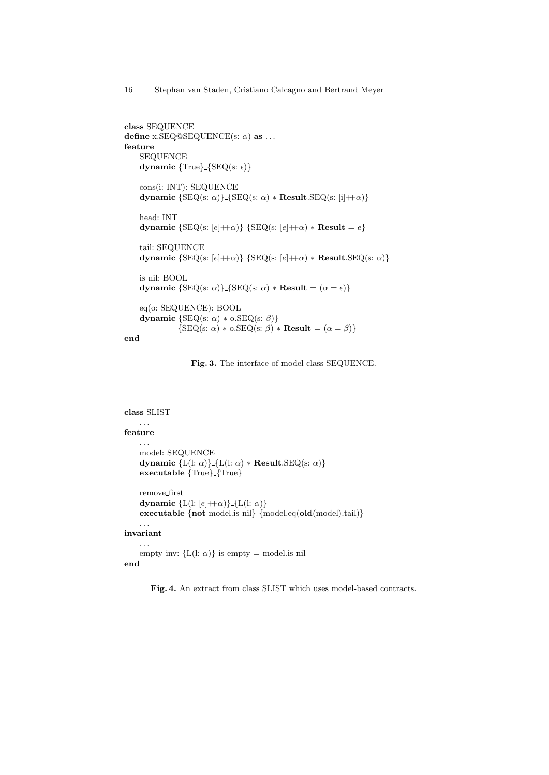```
class SEQUENCE
define x.SEQ@SEQUENCE(s: \alpha) as ...
feature
    SEQUENCE
    dynamic \{True\} {SEQ(s: \epsilon)}
    cons(i: INT): SEQUENCE
    dynamic \{SEQ(s: \alpha)\} {SEQ(s: \alpha) * Result.SEQ(s: [i]++\alpha)}
    head: INT
    dynamic {SEQ(s: [e]++\alpha)} {SEQ(s: [e]++\alpha) * Result = e}
    tail: SEQUENCE
    dynamic \{SEQ(s: [e]+a)\} {SEQ(s: [e]+a) *Result.SEQ(s: \alpha)}
    is nil: BOOL
    dynamic {SEQ(s: \alpha)} {SEQ(s: \alpha) * Result = (\alpha = \epsilon)}
    eq(o: SEQUENCE): BOOL
    dynamic \{ \text{SEQ}(\text{s: } \alpha) * \text{o} . \text{SEQ}(\text{s: } \beta) \}.
                \{SEQ(s: \alpha) * o.SEQ(s: \beta) * Result = (\alpha = \beta)\}end
```
Fig. 3. The interface of model class SEQUENCE.

```
class SLIST
    . . .
feature
    . . .
    model: SEQUENCE
    dynamic {L(l: \alpha) } {L(l: \alpha) * Result.SEQ(s: \alpha)}
    executable {True} {True}
    remove first
    dynamic {L(1: [e]+ \alpha)} {L(1: \alpha)}executable {not model.is_nil} [model.eq(old(model).tail)}
    . . .
invariant
    . . .
    empty inv: {L( l: \alpha)} is empty = model.is nil
end
```
Fig. 4. An extract from class SLIST which uses model-based contracts.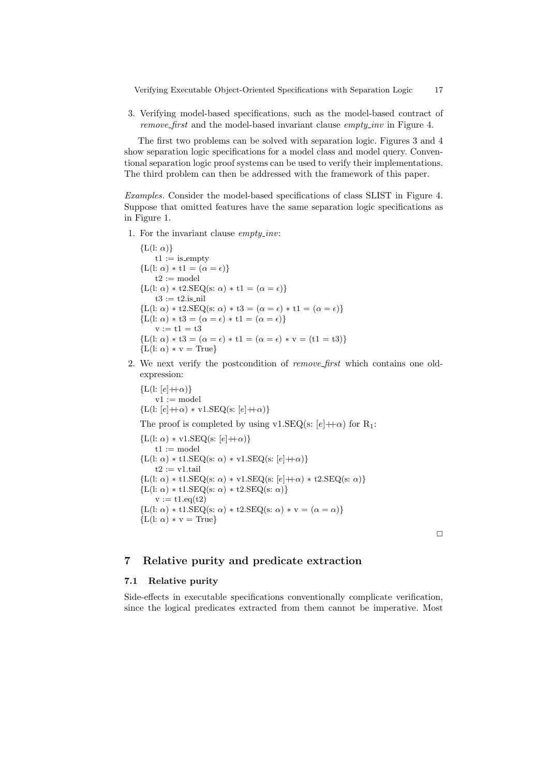Verifying Executable Object-Oriented Specifications with Separation Logic 17

3. Verifying model-based specifications, such as the model-based contract of remove first and the model-based invariant clause empty inv in Figure 4.

The first two problems can be solved with separation logic. Figures 3 and 4 show separation logic specifications for a model class and model query. Conventional separation logic proof systems can be used to verify their implementations. The third problem can then be addressed with the framework of this paper.

Examples. Consider the model-based specifications of class SLIST in Figure 4. Suppose that omitted features have the same separation logic specifications as in Figure 1.

1. For the invariant clause empty inv:

```
{L(l: \alpha)}t1 := is empty
{L(l: \alpha) * t1 = (\alpha = \epsilon)}t2 := \text{model}{L(l: \alpha) * t2.SEQ(s: \alpha) * t1 = (\alpha = \epsilon)}t3 := t2.is\_nil{L(1: \alpha) * t2.SEQ(s: \alpha) * t3 = (\alpha = \epsilon) * t1 = (\alpha = \epsilon)}{L(l: \alpha) * t3 = (\alpha = \epsilon) * t1 = (\alpha = \epsilon)}v := t1 = t3{L(l: \alpha) * t3 = (\alpha = \epsilon) * t1 = (\alpha = \epsilon) * v = (t1 = t3)}{L(l: \alpha) * v = True}
```
2. We next verify the postcondition of remove first which contains one oldexpression:

```
{L(l: [e]+ \alpha)}v1 := model
{L(l: [e]+ \alpha) * v1.SEQ(s: [e]+ \alpha)}The proof is completed by using v1.SEQ(s: [e] + \alpha) for R<sub>1</sub>:
{L(l: \alpha) * v1.SEQ(s: [e] + \alpha)}t1 := model
{L(l: \alpha) * t1.SEQ(s: \alpha) * v1.SEQ(s: [e] + \alpha)}t2 := v1.tail{L(l: \alpha) * t1. SEQ(s: \alpha) * v1. SEQ(s: [e] + \alpha) * t2. SEQ(s: \alpha)}{L(l: \alpha) * t1.SEQ(s: \alpha) * t2.SEQ(s: \alpha)}
     v := t1 \cdot eq(t2){L(l: \alpha) * t1. SEQ(s: \alpha) * t2. SEQ(s: \alpha) * v = (\alpha = \alpha)}{L(l: \alpha) * v = True}
```
 $\Box$ 

## 7 Relative purity and predicate extraction

#### 7.1 Relative purity

Side-effects in executable specifications conventionally complicate verification, since the logical predicates extracted from them cannot be imperative. Most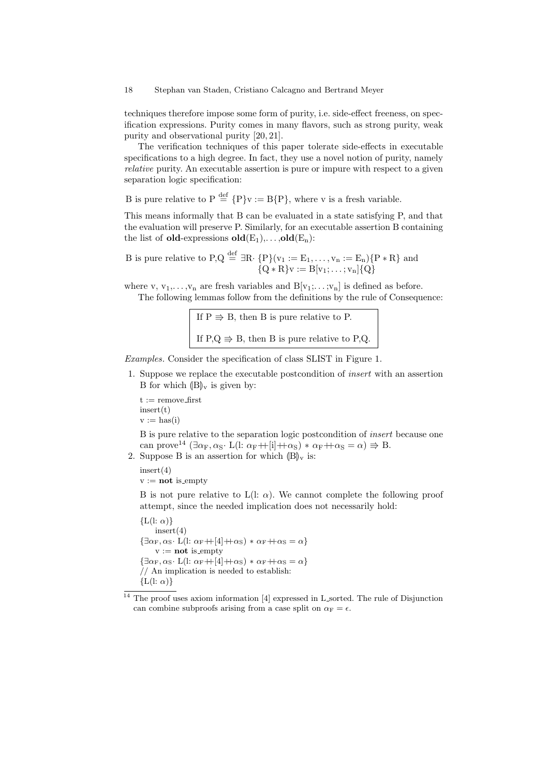techniques therefore impose some form of purity, i.e. side-effect freeness, on specification expressions. Purity comes in many flavors, such as strong purity, weak purity and observational purity [20, 21].

The verification techniques of this paper tolerate side-effects in executable specifications to a high degree. In fact, they use a novel notion of purity, namely relative purity. An executable assertion is pure or impure with respect to a given separation logic specification:

B is pure relative to  $P \stackrel{\text{def}}{=} \{P\}v := B\{P\}$ , where v is a fresh variable.

This means informally that B can be evaluated in a state satisfying P, and that the evaluation will preserve P. Similarly, for an executable assertion B containing the list of **old**-expressions **old** $(E_1), \ldots$ **old** $(E_n)$ :

B is pure relative to P,Q  $\stackrel{\text{def}}{=} \exists R \cdot \{P\}(v_1 := E_1, \ldots, v_n := E_n)\{P * R\}$  and  ${Q * R}$ v := B[v<sub>1</sub>; ... ; v<sub>n</sub>] ${Q}$ 

where v,  $v_1, \ldots, v_n$  are fresh variables and  $B[v_1; \ldots; v_n]$  is defined as before. The following lemmas follow from the definitions by the rule of Consequence:

If 
$$
P \Rightarrow B
$$
, then B is pure relative to P.  
If  $P,Q \Rightarrow B$ , then B is pure relative to P,Q.

Examples. Consider the specification of class SLIST in Figure 1.

1. Suppose we replace the executable postcondition of insert with an assertion B for which  $(B)<sub>v</sub>$  is given by:

 $t :=$  remove\_first  $insert(t)$  $v := \text{has}(i)$ 

B is pure relative to the separation logic postcondition of insert because one can prove<sup>14</sup> ( $\exists \alpha_F, \alpha_S$ · L(l:  $\alpha_F + |i| + \alpha_S$ ) \*  $\alpha_F + \alpha_S = \alpha$ )  $\Rightarrow$  B.

2. Suppose B is an assertion for which  $(\mathbb{B})_v$  is:

 $insert(4)$  $v := \textbf{not}$  is empty

B is not pure relative to L(l:  $\alpha$ ). We cannot complete the following proof attempt, since the needed implication does not necessarily hold:

 ${L(1: \alpha)}$  $insert(4)$  $\{\exists \alpha_F, \alpha_S \cdot L(l: \alpha_F + [4] + \alpha_S) * \alpha_F + \alpha_S = \alpha\}$  $v := \textbf{not}$  is empty  $\{\exists \alpha_F, \alpha_S : L(l: \alpha_F + [4] + \alpha_S) * \alpha_F + \alpha_S = \alpha\}$ // An implication is needed to establish:  ${L(l: \alpha)}$ 

 $^{14}$  The proof uses axiom information  $\left[4\right]$  expressed in L sorted. The rule of Disjunction can combine subproofs arising from a case split on  $\alpha_F = \epsilon$ .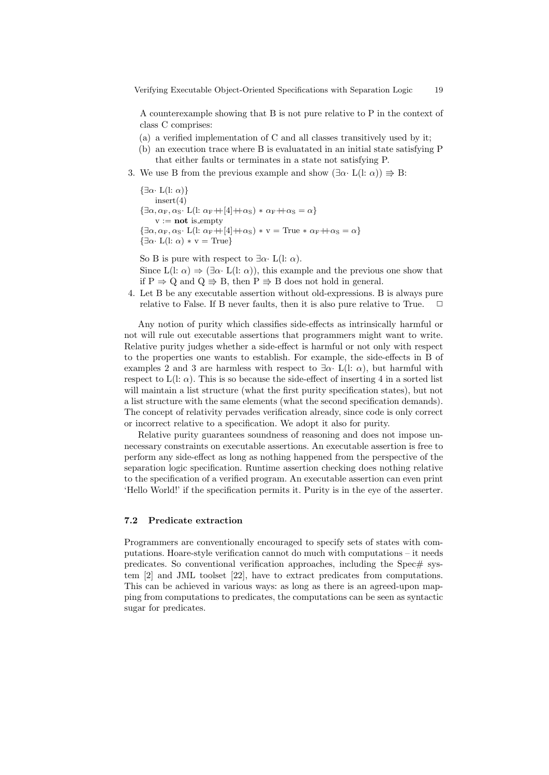A counterexample showing that B is not pure relative to P in the context of class C comprises:

- (a) a verified implementation of C and all classes transitively used by it;
- (b) an execution trace where B is evaluatated in an initial state satisfying P that either faults or terminates in a state not satisfying P.
- 3. We use B from the previous example and show  $(\exists \alpha \cdot L(l: \alpha)) \Rightarrow B:$

 $\{\exists \alpha \cdot L(l: \alpha)\}\$ insert(4)  $\{\exists \alpha, \alpha_{\rm F}, \alpha_{\rm S} \cdot L(l: \alpha_{\rm F} + [4] + \alpha_{\rm S}) * \alpha_{\rm F} + \alpha_{\rm S} = \alpha\}$  $v := \textbf{not}$  is empty  $\{\exists \alpha, \alpha_F, \alpha_S \cdot L(l: \alpha_F + [4] + \alpha_S) * v = \text{True} * \alpha_F + \alpha_S = \alpha\}$  $\{\exists \alpha \cdot L(l: \alpha) * v = True\}$ 

So B is pure with respect to  $\exists \alpha$  L(l:  $\alpha$ ).

- Since  $L(l: \alpha) \Rightarrow (\exists \alpha \cdot L(l: \alpha))$ , this example and the previous one show that if  $P \Rightarrow Q$  and  $Q \Rightarrow B$ , then  $P \Rightarrow B$  does not hold in general.
- 4. Let B be any executable assertion without old-expressions. B is always pure relative to False. If B never faults, then it is also pure relative to True.  $\Box$

Any notion of purity which classifies side-effects as intrinsically harmful or not will rule out executable assertions that programmers might want to write. Relative purity judges whether a side-effect is harmful or not only with respect to the properties one wants to establish. For example, the side-effects in B of examples 2 and 3 are harmless with respect to  $\exists \alpha$ . L(l:  $\alpha$ ), but harmful with respect to  $L(1; \alpha)$ . This is so because the side-effect of inserting 4 in a sorted list will maintain a list structure (what the first purity specification states), but not a list structure with the same elements (what the second specification demands). The concept of relativity pervades verification already, since code is only correct or incorrect relative to a specification. We adopt it also for purity.

Relative purity guarantees soundness of reasoning and does not impose unnecessary constraints on executable assertions. An executable assertion is free to perform any side-effect as long as nothing happened from the perspective of the separation logic specification. Runtime assertion checking does nothing relative to the specification of a verified program. An executable assertion can even print 'Hello World!' if the specification permits it. Purity is in the eye of the asserter.

#### 7.2 Predicate extraction

Programmers are conventionally encouraged to specify sets of states with computations. Hoare-style verification cannot do much with computations – it needs predicates. So conventional verification approaches, including the Spec# system [2] and JML toolset [22], have to extract predicates from computations. This can be achieved in various ways: as long as there is an agreed-upon mapping from computations to predicates, the computations can be seen as syntactic sugar for predicates.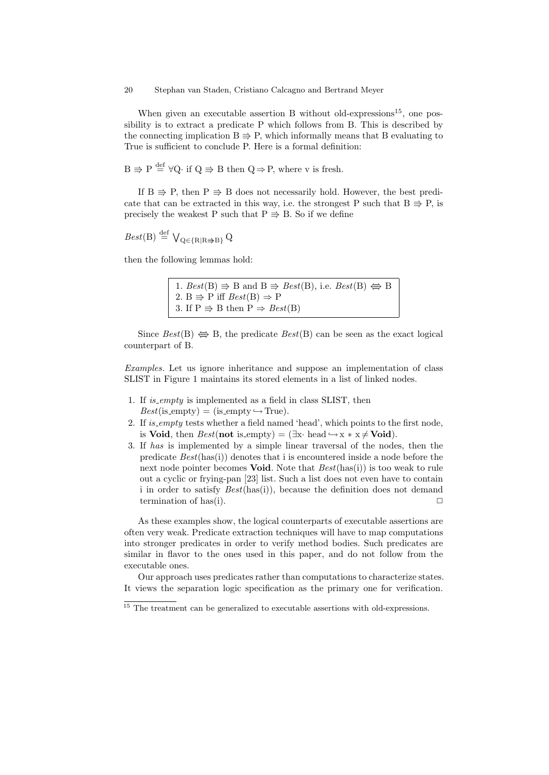When given an executable assertion B without old-expressions<sup>15</sup>, one possibility is to extract a predicate P which follows from B. This is described by the connecting implication  $B \Rightarrow P$ , which informally means that B evaluating to True is sufficient to conclude P. Here is a formal definition:

 $B \Rightarrow P \stackrel{\text{def}}{=} \forall Q$  if  $Q \Rightarrow B$  then  $Q \Rightarrow P$ , where v is fresh.

If  $B \Rightarrow P$ , then  $P \Rightarrow B$  does not necessarily hold. However, the best predicate that can be extracted in this way, i.e. the strongest P such that  $B \Rightarrow P$ , is precisely the weakest P such that  $P \Rightarrow B$ . So if we define

 $Best(B) \stackrel{\text{def}}{=} \bigvee_{Q \in \{R | R \Rightarrow B\}} Q$ 

then the following lemmas hold:

```
1. Best(B) \Rightarrow B and B \Rightarrow Best(B), i.e. Best(B) \Leftrightarrow B2. B \Rightarrow P iff Best(B) \Rightarrow P3. If P \Rightarrow B then P \Rightarrow Best(B)
```
Since  $Best(B) \Leftrightarrow B$ , the predicate  $Best(B)$  can be seen as the exact logical counterpart of B.

Examples. Let us ignore inheritance and suppose an implementation of class SLIST in Figure 1 maintains its stored elements in a list of linked nodes.

- 1. If is empty is implemented as a field in class SLIST, then  $Best(is\rule{1empt}{1empt}}) = (is\rule{1empt}{1empt}{1empt}} \rightarrow True).$
- 2. If *is\_empty* tests whether a field named 'head', which points to the first node, is Void, then  $Best(not is-empty) = (\exists x \cdot head \hookrightarrow x * x \neq Void).$
- 3. If has is implemented by a simple linear traversal of the nodes, then the predicate  $Best(\text{has}(i))$  denotes that i is encountered inside a node before the next node pointer becomes **Void**. Note that  $Best(has(i))$  is too weak to rule out a cyclic or frying-pan [23] list. Such a list does not even have to contain i in order to satisfy  $Best(has(i))$ , because the definition does not demand termination of has(i).  $\Box$

As these examples show, the logical counterparts of executable assertions are often very weak. Predicate extraction techniques will have to map computations into stronger predicates in order to verify method bodies. Such predicates are similar in flavor to the ones used in this paper, and do not follow from the executable ones.

Our approach uses predicates rather than computations to characterize states. It views the separation logic specification as the primary one for verification.

 $^{15}$  The treatment can be generalized to executable assertions with old-expressions.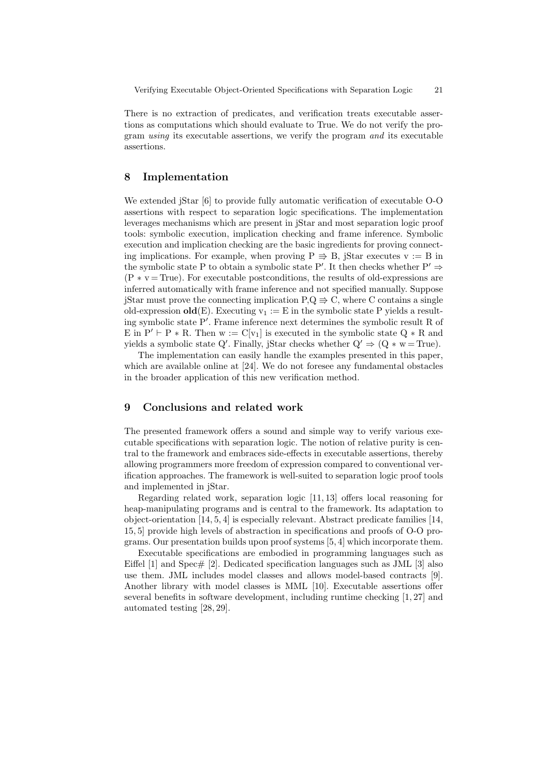There is no extraction of predicates, and verification treats executable assertions as computations which should evaluate to True. We do not verify the program using its executable assertions, we verify the program and its executable assertions.

### 8 Implementation

We extended jStar [6] to provide fully automatic verification of executable O-O assertions with respect to separation logic specifications. The implementation leverages mechanisms which are present in jStar and most separation logic proof tools: symbolic execution, implication checking and frame inference. Symbolic execution and implication checking are the basic ingredients for proving connecting implications. For example, when proving  $P \Rightarrow B$ , jStar executes v := B in the symbolic state P to obtain a symbolic state P'. It then checks whether  $P' \Rightarrow$  $(P * v = True)$ . For executable postconditions, the results of old-expressions are inferred automatically with frame inference and not specified manually. Suppose jStar must prove the connecting implication  $P,Q \Rightarrow C$ , where C contains a single old-expression **old**(E). Executing  $v_1 := E$  in the symbolic state P yields a resulting symbolic state  $P'$ . Frame inference next determines the symbolic result R of E in  $P' \vdash P * R$ . Then  $w := C[v_1]$  is executed in the symbolic state  $Q * R$  and yields a symbolic state Q'. Finally, jStar checks whether  $Q' \Rightarrow (Q * w = True)$ .

The implementation can easily handle the examples presented in this paper, which are available online at [24]. We do not foresee any fundamental obstacles in the broader application of this new verification method.

### 9 Conclusions and related work

The presented framework offers a sound and simple way to verify various executable specifications with separation logic. The notion of relative purity is central to the framework and embraces side-effects in executable assertions, thereby allowing programmers more freedom of expression compared to conventional verification approaches. The framework is well-suited to separation logic proof tools and implemented in jStar.

Regarding related work, separation logic [11, 13] offers local reasoning for heap-manipulating programs and is central to the framework. Its adaptation to object-orientation [14, 5, 4] is especially relevant. Abstract predicate families [14, 15, 5] provide high levels of abstraction in specifications and proofs of O-O programs. Our presentation builds upon proof systems [5, 4] which incorporate them.

Executable specifications are embodied in programming languages such as Eiffel [1] and Spec# [2]. Dedicated specification languages such as JML [3] also use them. JML includes model classes and allows model-based contracts [9]. Another library with model classes is MML [10]. Executable assertions offer several benefits in software development, including runtime checking [1, 27] and automated testing [28, 29].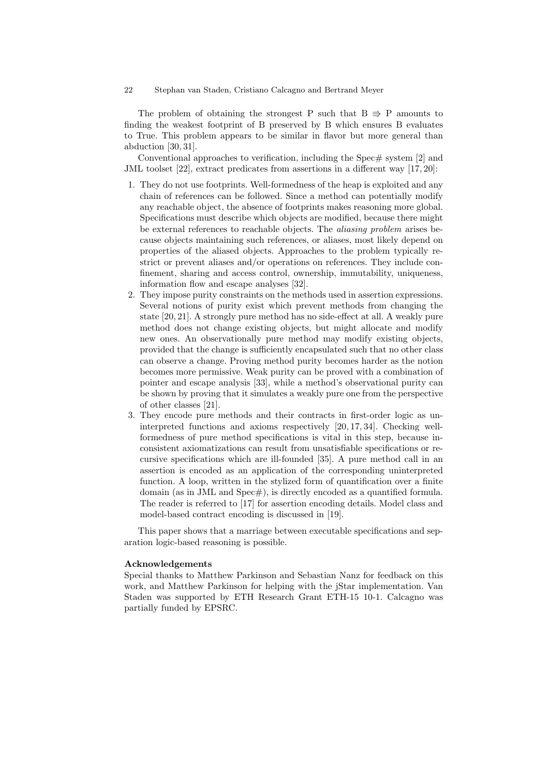The problem of obtaining the strongest P such that  $B \Rightarrow P$  amounts to finding the weakest footprint of B preserved by B which ensures B evaluates to True. This problem appears to be similar in flavor but more general than abduction [30, 31].

Conventional approaches to verification, including the  $Spec \#$  system [2] and JML toolset [22], extract predicates from assertions in a different way [17, 20]:

- 1. They do not use footprints. Well-formedness of the heap is exploited and any chain of references can be followed. Since a method can potentially modify any reachable object, the absence of footprints makes reasoning more global. Specifications must describe which objects are modified, because there might be external references to reachable objects. The aliasing problem arises because objects maintaining such references, or aliases, most likely depend on properties of the aliased objects. Approaches to the problem typically restrict or prevent aliases and/or operations on references. They include confinement, sharing and access control, ownership, immutability, uniqueness, information flow and escape analyses [32].
- 2. They impose purity constraints on the methods used in assertion expressions. Several notions of purity exist which prevent methods from changing the state [20, 21]. A strongly pure method has no side-effect at all. A weakly pure method does not change existing objects, but might allocate and modify new ones. An observationally pure method may modify existing objects, provided that the change is sufficiently encapsulated such that no other class can observe a change. Proving method purity becomes harder as the notion becomes more permissive. Weak purity can be proved with a combination of pointer and escape analysis [33], while a method's observational purity can be shown by proving that it simulates a weakly pure one from the perspective of other classes [21].
- 3. They encode pure methods and their contracts in first-order logic as uninterpreted functions and axioms respectively [20, 17, 34]. Checking wellformedness of pure method specifications is vital in this step, because inconsistent axiomatizations can result from unsatisfiable specifications or recursive specifications which are ill-founded [35]. A pure method call in an assertion is encoded as an application of the corresponding uninterpreted function. A loop, written in the stylized form of quantification over a finite domain (as in JML and Spec#), is directly encoded as a quantified formula. The reader is referred to [17] for assertion encoding details. Model class and model-based contract encoding is discussed in [19].

This paper shows that a marriage between executable specifications and separation logic-based reasoning is possible.

#### Acknowledgements

Special thanks to Matthew Parkinson and Sebastian Nanz for feedback on this work, and Matthew Parkinson for helping with the jStar implementation. Van Staden was supported by ETH Research Grant ETH-15 10-1. Calcagno was partially funded by EPSRC.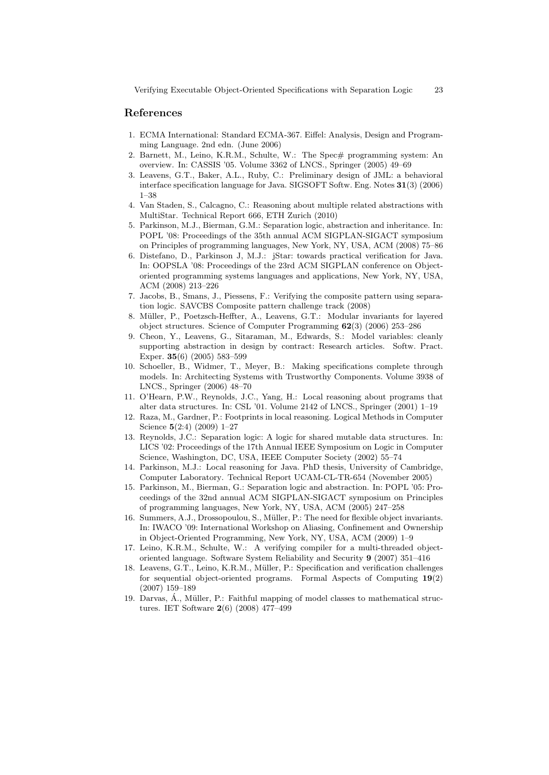#### References

- 1. ECMA International: Standard ECMA-367. Eiffel: Analysis, Design and Programming Language. 2nd edn. (June 2006)
- 2. Barnett, M., Leino, K.R.M., Schulte, W.: The Spec# programming system: An overview. In: CASSIS '05. Volume 3362 of LNCS., Springer (2005) 49–69
- 3. Leavens, G.T., Baker, A.L., Ruby, C.: Preliminary design of JML: a behavioral interface specification language for Java. SIGSOFT Softw. Eng. Notes 31(3) (2006) 1–38
- 4. Van Staden, S., Calcagno, C.: Reasoning about multiple related abstractions with MultiStar. Technical Report 666, ETH Zurich (2010)
- 5. Parkinson, M.J., Bierman, G.M.: Separation logic, abstraction and inheritance. In: POPL '08: Proceedings of the 35th annual ACM SIGPLAN-SIGACT symposium on Principles of programming languages, New York, NY, USA, ACM (2008) 75–86
- 6. Distefano, D., Parkinson J, M.J.: jStar: towards practical verification for Java. In: OOPSLA '08: Proceedings of the 23rd ACM SIGPLAN conference on Objectoriented programming systems languages and applications, New York, NY, USA, ACM (2008) 213–226
- 7. Jacobs, B., Smans, J., Piessens, F.: Verifying the composite pattern using separation logic. SAVCBS Composite pattern challenge track (2008)
- 8. Müller, P., Poetzsch-Heffter, A., Leavens, G.T.: Modular invariants for layered object structures. Science of Computer Programming 62(3) (2006) 253–286
- 9. Cheon, Y., Leavens, G., Sitaraman, M., Edwards, S.: Model variables: cleanly supporting abstraction in design by contract: Research articles. Softw. Pract. Exper. 35(6) (2005) 583–599
- 10. Schoeller, B., Widmer, T., Meyer, B.: Making specifications complete through models. In: Architecting Systems with Trustworthy Components. Volume 3938 of LNCS., Springer (2006) 48–70
- 11. O'Hearn, P.W., Reynolds, J.C., Yang, H.: Local reasoning about programs that alter data structures. In: CSL '01. Volume 2142 of LNCS., Springer (2001) 1–19
- 12. Raza, M., Gardner, P.: Footprints in local reasoning. Logical Methods in Computer Science 5(2:4) (2009) 1–27
- 13. Reynolds, J.C.: Separation logic: A logic for shared mutable data structures. In: LICS '02: Proceedings of the 17th Annual IEEE Symposium on Logic in Computer Science, Washington, DC, USA, IEEE Computer Society (2002) 55–74
- 14. Parkinson, M.J.: Local reasoning for Java. PhD thesis, University of Cambridge, Computer Laboratory. Technical Report UCAM-CL-TR-654 (November 2005)
- 15. Parkinson, M., Bierman, G.: Separation logic and abstraction. In: POPL '05: Proceedings of the 32nd annual ACM SIGPLAN-SIGACT symposium on Principles of programming languages, New York, NY, USA, ACM (2005) 247–258
- 16. Summers, A.J., Drossopoulou, S., Müller, P.: The need for flexible object invariants. In: IWACO '09: International Workshop on Aliasing, Confinement and Ownership in Object-Oriented Programming, New York, NY, USA, ACM (2009) 1–9
- 17. Leino, K.R.M., Schulte, W.: A verifying compiler for a multi-threaded objectoriented language. Software System Reliability and Security 9 (2007) 351–416
- 18. Leavens, G.T., Leino, K.R.M., M¨uller, P.: Specification and verification challenges for sequential object-oriented programs. Formal Aspects of Computing 19(2) (2007) 159–189
- 19. Darvas,  $\hat{A}$ ., Müller, P.: Faithful mapping of model classes to mathematical structures. IET Software 2(6) (2008) 477–499